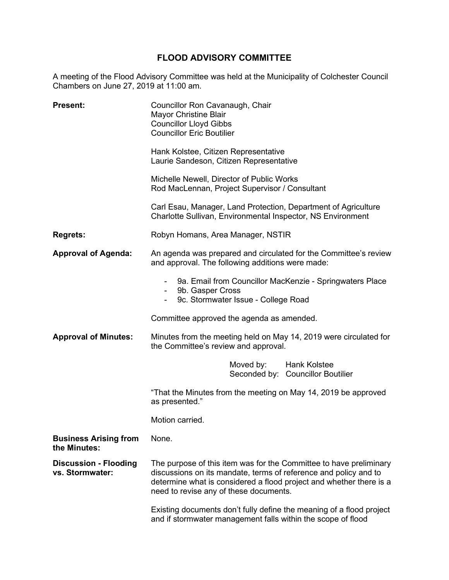# **FLOOD ADVISORY COMMITTEE**

A meeting of the Flood Advisory Committee was held at the Municipality of Colchester Council Chambers on June 27, 2019 at 11:00 am.

| <b>Present:</b>                                 | Councillor Ron Cavanaugh, Chair<br><b>Mayor Christine Blair</b><br><b>Councillor Lloyd Gibbs</b><br><b>Councillor Eric Boutilier</b>                                                                                                                    |
|-------------------------------------------------|---------------------------------------------------------------------------------------------------------------------------------------------------------------------------------------------------------------------------------------------------------|
|                                                 | Hank Kolstee, Citizen Representative<br>Laurie Sandeson, Citizen Representative                                                                                                                                                                         |
|                                                 | Michelle Newell, Director of Public Works<br>Rod MacLennan, Project Supervisor / Consultant                                                                                                                                                             |
|                                                 | Carl Esau, Manager, Land Protection, Department of Agriculture<br>Charlotte Sullivan, Environmental Inspector, NS Environment                                                                                                                           |
| <b>Regrets:</b>                                 | Robyn Homans, Area Manager, NSTIR                                                                                                                                                                                                                       |
| <b>Approval of Agenda:</b>                      | An agenda was prepared and circulated for the Committee's review<br>and approval. The following additions were made:                                                                                                                                    |
|                                                 | 9a. Email from Councillor MacKenzie - Springwaters Place<br>9b. Gasper Cross<br>9c. Stormwater Issue - College Road                                                                                                                                     |
|                                                 | Committee approved the agenda as amended.                                                                                                                                                                                                               |
| <b>Approval of Minutes:</b>                     | Minutes from the meeting held on May 14, 2019 were circulated for<br>the Committee's review and approval.                                                                                                                                               |
|                                                 | Moved by: Hank Kolstee<br>Seconded by: Councillor Boutilier                                                                                                                                                                                             |
|                                                 | "That the Minutes from the meeting on May 14, 2019 be approved<br>as presented."                                                                                                                                                                        |
|                                                 | Motion carried.                                                                                                                                                                                                                                         |
| <b>Business Arising from</b><br>the Minutes:    | None.                                                                                                                                                                                                                                                   |
| <b>Discussion - Flooding</b><br>vs. Stormwater: | The purpose of this item was for the Committee to have preliminary<br>discussions on its mandate, terms of reference and policy and to<br>determine what is considered a flood project and whether there is a<br>need to revise any of these documents. |
|                                                 | Existing documents don't fully define the meaning of a flood project<br>and if stormwater management falls within the scope of flood                                                                                                                    |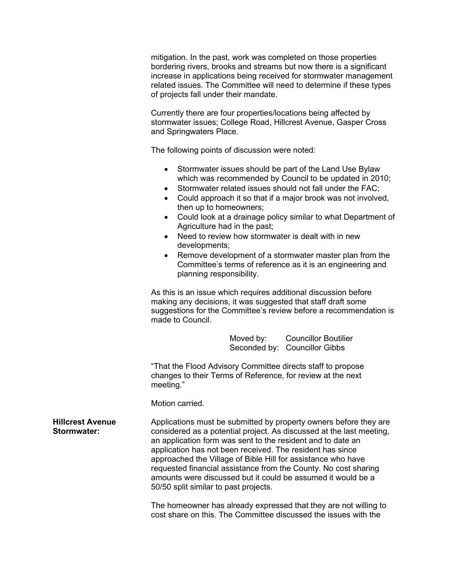mitigation. In the past, work was completed on those properties bordering rivers, brooks and streams but now there is a significant increase in applications being received for stormwater management related issues. The Committee will need to determine if these types of projects fall under their mandate.

Currently there are four properties/locations being affected by stormwater issues; College Road, Hillcrest Avenue, Gasper Cross and Springwaters Place.

The following points of discussion were noted:

- Stormwater issues should be part of the Land Use Bylaw which was recommended by Council to be updated in 2010;
- Stormwater related issues should not fall under the FAC;
- Could approach it so that if a major brook was not involved, then up to homeowners;
- Could look at a drainage policy similar to what Department of Agriculture had in the past;
- Need to review how stormwater is dealt with in new developments;
- Remove development of a stormwater master plan from the Committee's terms of reference as it is an engineering and planning responsibility.

As this is an issue which requires additional discussion before making any decisions, it was suggested that staff draft some suggestions for the Committee's review before a recommendation is made to Council.

> Moved by: Councillor Boutilier Seconded by: Councillor Gibbs

"That the Flood Advisory Committee directs staff to propose changes to their Terms of Reference, for review at the next meeting."

Motion carried.

**Hillcrest Avenue Stormwater:**

Applications must be submitted by property owners before they are considered as a potential project. As discussed at the last meeting, an application form was sent to the resident and to date an application has not been received. The resident has since approached the Village of Bible Hill for assistance who have requested financial assistance from the County. No cost sharing amounts were discussed but it could be assumed it would be a 50/50 split similar to past projects.

The homeowner has already expressed that they are not willing to cost share on this. The Committee discussed the issues with the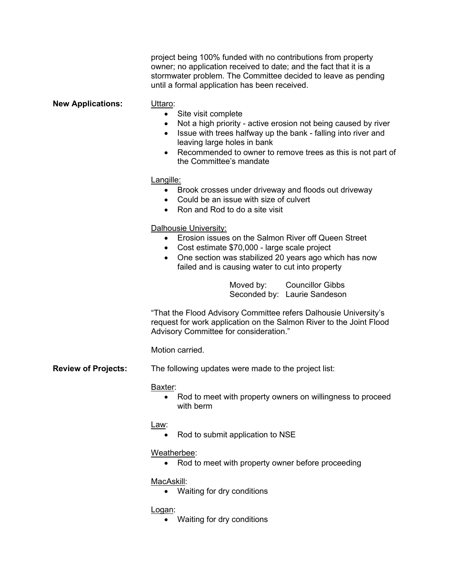|                            | project being 100% funded with no contributions from property<br>owner; no application received to date; and the fact that it is a<br>stormwater problem. The Committee decided to leave as pending<br>until a formal application has been received.                                                                                           |
|----------------------------|------------------------------------------------------------------------------------------------------------------------------------------------------------------------------------------------------------------------------------------------------------------------------------------------------------------------------------------------|
| <b>New Applications:</b>   | Uttaro:<br>Site visit complete<br>$\bullet$<br>Not a high priority - active erosion not being caused by river<br>$\bullet$<br>Issue with trees halfway up the bank - falling into river and<br>$\bullet$<br>leaving large holes in bank<br>Recommended to owner to remove trees as this is not part of<br>$\bullet$<br>the Committee's mandate |
|                            | Langille:<br>Brook crosses under driveway and floods out driveway<br>$\bullet$<br>Could be an issue with size of culvert<br>$\bullet$<br>Ron and Rod to do a site visit<br>$\bullet$                                                                                                                                                           |
|                            | Dalhousie University:<br>Erosion issues on the Salmon River off Queen Street<br>$\bullet$<br>Cost estimate \$70,000 - large scale project<br>$\bullet$<br>One section was stabilized 20 years ago which has now<br>failed and is causing water to cut into property                                                                            |
|                            | Moved by: Councillor Gibbs<br>Seconded by: Laurie Sandeson                                                                                                                                                                                                                                                                                     |
|                            | "That the Flood Advisory Committee refers Dalhousie University's<br>request for work application on the Salmon River to the Joint Flood<br>Advisory Committee for consideration."                                                                                                                                                              |
|                            | Motion carried.                                                                                                                                                                                                                                                                                                                                |
| <b>Review of Projects:</b> | The following updates were made to the project list:                                                                                                                                                                                                                                                                                           |
|                            | Baxter:<br>Rod to meet with property owners on willingness to proceed<br>with berm                                                                                                                                                                                                                                                             |
|                            | Law:<br>Rod to submit application to NSE<br>$\bullet$                                                                                                                                                                                                                                                                                          |
|                            | Weatherbee:<br>Rod to meet with property owner before proceeding                                                                                                                                                                                                                                                                               |
|                            | MacAskill:<br>Waiting for dry conditions<br>$\bullet$                                                                                                                                                                                                                                                                                          |
|                            | <u>Logan:</u><br>Waiting for dry conditions                                                                                                                                                                                                                                                                                                    |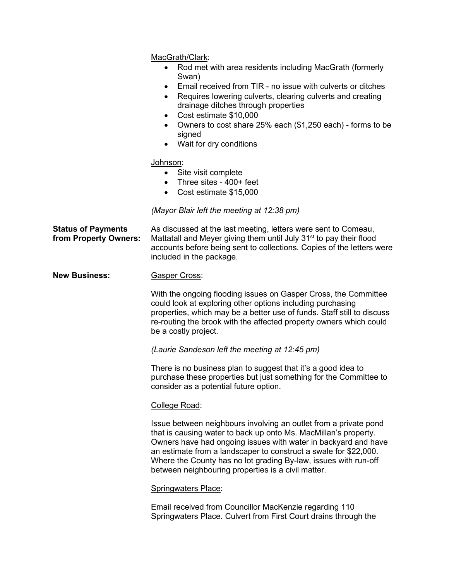MacGrath/Clark:

- Rod met with area residents including MacGrath (formerly Swan)
- Email received from TIR no issue with culverts or ditches
- Requires lowering culverts, clearing culverts and creating drainage ditches through properties
- Cost estimate \$10,000
- Owners to cost share 25% each (\$1,250 each) forms to be signed
- Wait for dry conditions

#### Johnson:

- Site visit complete
- Three sites 400+ feet
- Cost estimate \$15,000

### *(Mayor Blair left the meeting at 12:38 pm)*

**Status of Payments from Property Owners:** As discussed at the last meeting, letters were sent to Comeau, Mattatall and Meyer giving them until July 31<sup>st</sup> to pay their flood accounts before being sent to collections. Copies of the letters were included in the package.

#### **New Business:** Gasper Cross:

With the ongoing flooding issues on Gasper Cross, the Committee could look at exploring other options including purchasing properties, which may be a better use of funds. Staff still to discuss re-routing the brook with the affected property owners which could be a costly project.

*(Laurie Sandeson left the meeting at 12:45 pm)*

There is no business plan to suggest that it's a good idea to purchase these properties but just something for the Committee to consider as a potential future option.

## College Road:

Issue between neighbours involving an outlet from a private pond that is causing water to back up onto Ms. MacMillan's property. Owners have had ongoing issues with water in backyard and have an estimate from a landscaper to construct a swale for \$22,000. Where the County has no lot grading By-law, issues with run-off between neighbouring properties is a civil matter.

## Springwaters Place:

Email received from Councillor MacKenzie regarding 110 Springwaters Place. Culvert from First Court drains through the